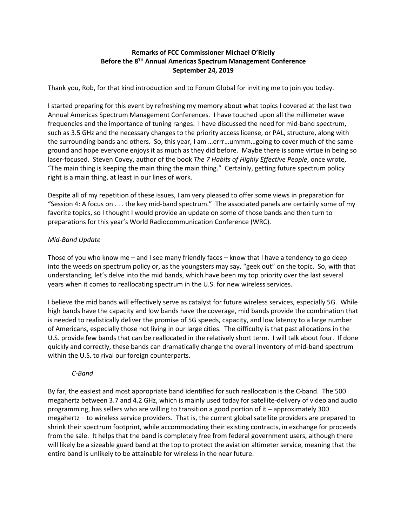# **Remarks of FCC Commissioner Michael O'Rielly Before the 8TH Annual Americas Spectrum Management Conference September 24, 2019**

Thank you, Rob, for that kind introduction and to Forum Global for inviting me to join you today.

I started preparing for this event by refreshing my memory about what topics I covered at the last two Annual Americas Spectrum Management Conferences. I have touched upon all the millimeter wave frequencies and the importance of tuning ranges. I have discussed the need for mid-band spectrum, such as 3.5 GHz and the necessary changes to the priority access license, or PAL, structure, along with the surrounding bands and others. So, this year, I am …errr…ummm…going to cover much of the same ground and hope everyone enjoys it as much as they did before. Maybe there is some virtue in being so laser-focused. Steven Covey, author of the book *The 7 Habits of Highly Effective People*, once wrote, "The main thing is keeping the main thing the main thing." Certainly, getting future spectrum policy right is a main thing, at least in our lines of work.

Despite all of my repetition of these issues, I am very pleased to offer some views in preparation for "Session 4: A focus on . . . the key mid-band spectrum." The associated panels are certainly some of my favorite topics, so I thought I would provide an update on some of those bands and then turn to preparations for this year's World Radiocommunication Conference (WRC).

# *Mid-Band Update*

Those of you who know me – and I see many friendly faces – know that I have a tendency to go deep into the weeds on spectrum policy or, as the youngsters may say, "geek out" on the topic. So, with that understanding, let's delve into the mid bands, which have been my top priority over the last several years when it comes to reallocating spectrum in the U.S. for new wireless services.

I believe the mid bands will effectively serve as catalyst for future wireless services, especially 5G. While high bands have the capacity and low bands have the coverage, mid bands provide the combination that is needed to realistically deliver the promise of 5G speeds, capacity, and low latency to a large number of Americans, especially those not living in our large cities. The difficulty is that past allocations in the U.S. provide few bands that can be reallocated in the relatively short term. I will talk about four. If done quickly and correctly, these bands can dramatically change the overall inventory of mid-band spectrum within the U.S. to rival our foreign counterparts.

### *C-Band*

By far, the easiest and most appropriate band identified for such reallocation is the C-band. The 500 megahertz between 3.7 and 4.2 GHz, which is mainly used today for satellite-delivery of video and audio programming, has sellers who are willing to transition a good portion of it – approximately 300 megahertz – to wireless service providers. That is, the current global satellite providers are prepared to shrink their spectrum footprint, while accommodating their existing contracts, in exchange for proceeds from the sale. It helps that the band is completely free from federal government users, although there will likely be a sizeable guard band at the top to protect the aviation altimeter service, meaning that the entire band is unlikely to be attainable for wireless in the near future.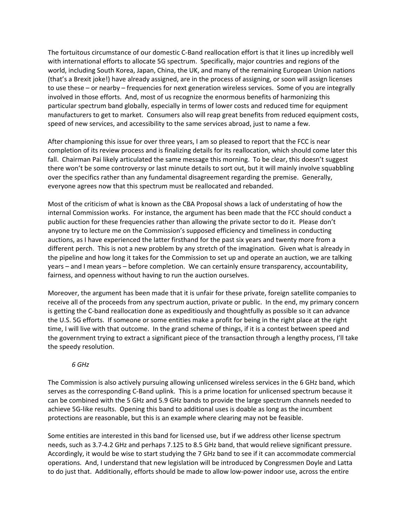The fortuitous circumstance of our domestic C-Band reallocation effort is that it lines up incredibly well with international efforts to allocate 5G spectrum. Specifically, major countries and regions of the world, including South Korea, Japan, China, the UK, and many of the remaining European Union nations (that's a Brexit joke!) have already assigned, are in the process of assigning, or soon will assign licenses to use these – or nearby – frequencies for next generation wireless services. Some of you are integrally involved in those efforts. And, most of us recognize the enormous benefits of harmonizing this particular spectrum band globally, especially in terms of lower costs and reduced time for equipment manufacturers to get to market. Consumers also will reap great benefits from reduced equipment costs, speed of new services, and accessibility to the same services abroad, just to name a few.

After championing this issue for over three years, I am so pleased to report that the FCC is near completion of its review process and is finalizing details for its reallocation, which should come later this fall. Chairman Pai likely articulated the same message this morning. To be clear, this doesn't suggest there won't be some controversy or last minute details to sort out, but it will mainly involve squabbling over the specifics rather than any fundamental disagreement regarding the premise. Generally, everyone agrees now that this spectrum must be reallocated and rebanded.

Most of the criticism of what is known as the CBA Proposal shows a lack of understating of how the internal Commission works. For instance, the argument has been made that the FCC should conduct a public auction for these frequencies rather than allowing the private sector to do it. Please don't anyone try to lecture me on the Commission's supposed efficiency and timeliness in conducting auctions, as I have experienced the latter firsthand for the past six years and twenty more from a different perch. This is not a new problem by any stretch of the imagination. Given what is already in the pipeline and how long it takes for the Commission to set up and operate an auction, we are talking years – and I mean years – before completion. We can certainly ensure transparency, accountability, fairness, and openness without having to run the auction ourselves.

Moreover, the argument has been made that it is unfair for these private, foreign satellite companies to receive all of the proceeds from any spectrum auction, private or public. In the end, my primary concern is getting the C-band reallocation done as expeditiously and thoughtfully as possible so it can advance the U.S. 5G efforts. If someone or some entities make a profit for being in the right place at the right time, I will live with that outcome. In the grand scheme of things, if it is a contest between speed and the government trying to extract a significant piece of the transaction through a lengthy process, I'll take the speedy resolution.

### *6 GHz*

The Commission is also actively pursuing allowing unlicensed wireless services in the 6 GHz band, which serves as the corresponding C-Band uplink. This is a prime location for unlicensed spectrum because it can be combined with the 5 GHz and 5.9 GHz bands to provide the large spectrum channels needed to achieve 5G-like results. Opening this band to additional uses is doable as long as the incumbent protections are reasonable, but this is an example where clearing may not be feasible.

Some entities are interested in this band for licensed use, but if we address other license spectrum needs, such as 3.7-4.2 GHz and perhaps 7.125 to 8.5 GHz band, that would relieve significant pressure. Accordingly, it would be wise to start studying the 7 GHz band to see if it can accommodate commercial operations. And, I understand that new legislation will be introduced by Congressmen Doyle and Latta to do just that. Additionally, efforts should be made to allow low-power indoor use, across the entire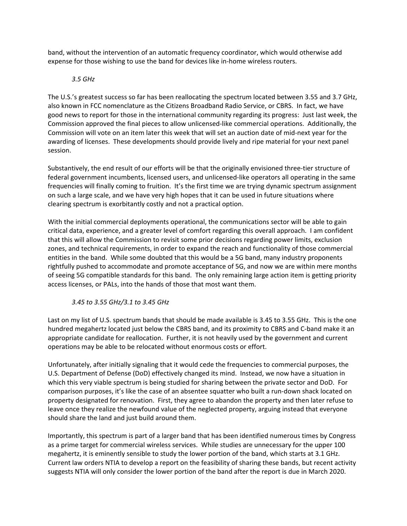band, without the intervention of an automatic frequency coordinator, which would otherwise add expense for those wishing to use the band for devices like in-home wireless routers.

### *3.5 GHz*

The U.S.'s greatest success so far has been reallocating the spectrum located between 3.55 and 3.7 GHz, also known in FCC nomenclature as the Citizens Broadband Radio Service, or CBRS. In fact, we have good news to report for those in the international community regarding its progress: Just last week, the Commission approved the final pieces to allow unlicensed-like commercial operations. Additionally, the Commission will vote on an item later this week that will set an auction date of mid-next year for the awarding of licenses. These developments should provide lively and ripe material for your next panel session.

Substantively, the end result of our efforts will be that the originally envisioned three-tier structure of federal government incumbents, licensed users, and unlicensed-like operators all operating in the same frequencies will finally coming to fruition. It's the first time we are trying dynamic spectrum assignment on such a large scale, and we have very high hopes that it can be used in future situations where clearing spectrum is exorbitantly costly and not a practical option.

With the initial commercial deployments operational, the communications sector will be able to gain critical data, experience, and a greater level of comfort regarding this overall approach. I am confident that this will allow the Commission to revisit some prior decisions regarding power limits, exclusion zones, and technical requirements, in order to expand the reach and functionality of those commercial entities in the band. While some doubted that this would be a 5G band, many industry proponents rightfully pushed to accommodate and promote acceptance of 5G, and now we are within mere months of seeing 5G compatible standards for this band. The only remaining large action item is getting priority access licenses, or PALs, into the hands of those that most want them.

### *3.45 to 3.55 GHz/3.1 to 3.45 GHz*

Last on my list of U.S. spectrum bands that should be made available is 3.45 to 3.55 GHz. This is the one hundred megahertz located just below the CBRS band, and its proximity to CBRS and C-band make it an appropriate candidate for reallocation. Further, it is not heavily used by the government and current operations may be able to be relocated without enormous costs or effort.

Unfortunately, after initially signaling that it would cede the frequencies to commercial purposes, the U.S. Department of Defense (DoD) effectively changed its mind. Instead, we now have a situation in which this very viable spectrum is being studied for sharing between the private sector and DoD. For comparison purposes, it's like the case of an absentee squatter who built a run-down shack located on property designated for renovation. First, they agree to abandon the property and then later refuse to leave once they realize the newfound value of the neglected property, arguing instead that everyone should share the land and just build around them.

Importantly, this spectrum is part of a larger band that has been identified numerous times by Congress as a prime target for commercial wireless services. While studies are unnecessary for the upper 100 megahertz, it is eminently sensible to study the lower portion of the band, which starts at 3.1 GHz. Current law orders NTIA to develop a report on the feasibility of sharing these bands, but recent activity suggests NTIA will only consider the lower portion of the band after the report is due in March 2020.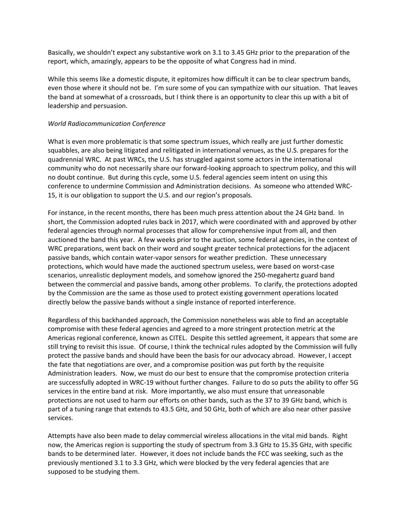Basically, we shouldn't expect any substantive work on 3.1 to 3.45 GHz prior to the preparation of the report, which, amazingly, appears to be the opposite of what Congress had in mind.

While this seems like a domestic dispute, it epitomizes how difficult it can be to clear spectrum bands, even those where it should not be. I'm sure some of you can sympathize with our situation. That leaves the band at somewhat of a crossroads, but I think there is an opportunity to clear this up with a bit of leadership and persuasion.

#### *World Radiocommunication Conference*

What is even more problematic is that some spectrum issues, which really are just further domestic squabbles, are also being litigated and relitigated in international venues, as the U.S. prepares for the quadrennial WRC. At past WRCs, the U.S. has struggled against some actors in the international community who do not necessarily share our forward-looking approach to spectrum policy, and this will no doubt continue. But during this cycle, some U.S. federal agencies seem intent on using this conference to undermine Commission and Administration decisions. As someone who attended WRC-15, it is our obligation to support the U.S. and our region's proposals.

For instance, in the recent months, there has been much press attention about the 24 GHz band. In short, the Commission adopted rules back in 2017, which were coordinated with and approved by other federal agencies through normal processes that allow for comprehensive input from all, and then auctioned the band this year. A few weeks prior to the auction, some federal agencies, in the context of WRC preparations, went back on their word and sought greater technical protections for the adjacent passive bands, which contain water-vapor sensors for weather prediction. These unnecessary protections, which would have made the auctioned spectrum useless, were based on worst-case scenarios, unrealistic deployment models, and somehow ignored the 250-megahertz guard band between the commercial and passive bands, among other problems. To clarify, the protections adopted by the Commission are the same as those used to protect existing government operations located directly below the passive bands without a single instance of reported interference.

Regardless of this backhanded approach, the Commission nonetheless was able to find an acceptable compromise with these federal agencies and agreed to a more stringent protection metric at the Americas regional conference, known as CITEL. Despite this settled agreement, it appears that some are still trying to revisit this issue. Of course, I think the technical rules adopted by the Commission will fully protect the passive bands and should have been the basis for our advocacy abroad. However, I accept the fate that negotiations are over, and a compromise position was put forth by the requisite Administration leaders. Now, we must do our best to ensure that the compromise protection criteria are successfully adopted in WRC-19 without further changes. Failure to do so puts the ability to offer 5G services in the entire band at risk. More importantly, we also must ensure that unreasonable protections are not used to harm our efforts on other bands, such as the 37 to 39 GHz band, which is part of a tuning range that extends to 43.5 GHz, and 50 GHz, both of which are also near other passive services.

Attempts have also been made to delay commercial wireless allocations in the vital mid bands. Right now, the Americas region is supporting the study of spectrum from 3.3 GHz to 15.35 GHz, with specific bands to be determined later. However, it does not include bands the FCC was seeking, such as the previously mentioned 3.1 to 3.3 GHz, which were blocked by the very federal agencies that are supposed to be studying them.